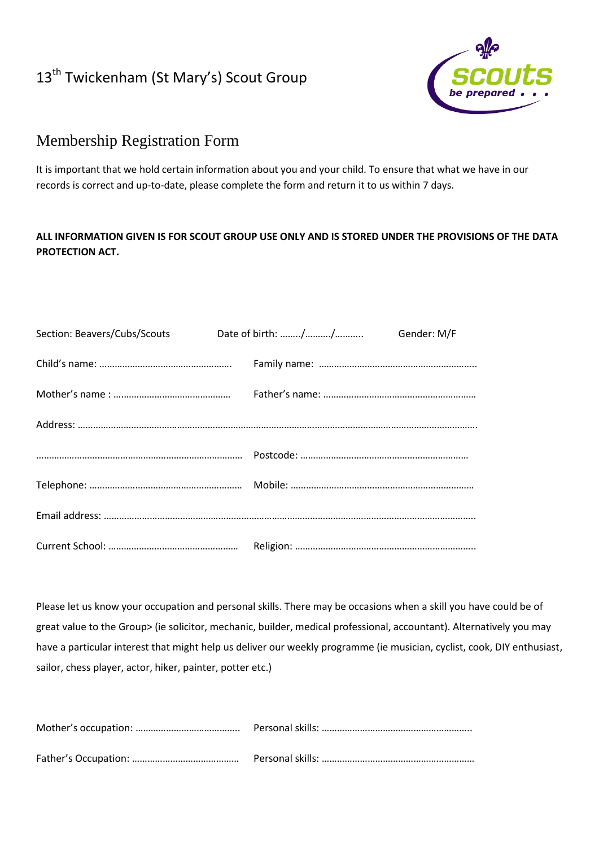## 13<sup>th</sup> Twickenham (St Mary's) Scout Group



## Membership Registration Form

It is important that we hold certain information about you and your child. To ensure that what we have in our records is correct and up-to-date, please complete the form and return it to us within 7 days.

## **ALL INFORMATION GIVEN IS FOR SCOUT GROUP USE ONLY AND IS STORED UNDER THE PROVISIONS OF THE DATA PROTECTION ACT.**

Please let us know your occupation and personal skills. There may be occasions when a skill you have could be of great value to the Group> (ie solicitor, mechanic, builder, medical professional, accountant). Alternatively you may have a particular interest that might help us deliver our weekly programme (ie musician, cyclist, cook, DIY enthusiast, sailor, chess player, actor, hiker, painter, potter etc.)